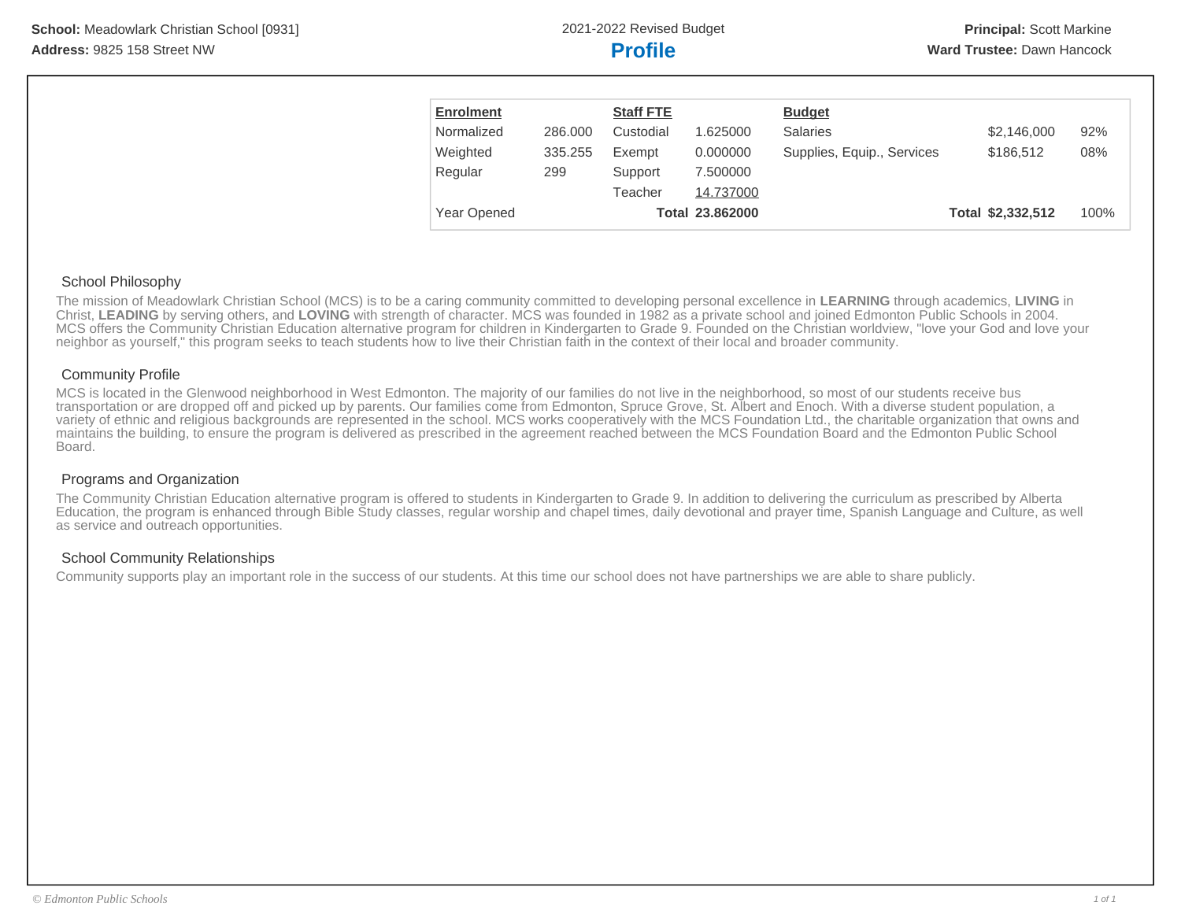| <b>Enrolment</b> |         | <b>Staff FTE</b> |                 | <b>Budget</b>              |                   |      |
|------------------|---------|------------------|-----------------|----------------------------|-------------------|------|
| Normalized       | 286,000 | Custodial        | 1.625000        | <b>Salaries</b>            | \$2,146,000       | 92%  |
| Weighted         | 335.255 | Exempt           | 0.000000        | Supplies, Equip., Services | \$186.512         | 08%  |
| Regular          | 299     | Support          | 7.500000        |                            |                   |      |
|                  |         | Teacher          | 14.737000       |                            |                   |      |
| Year Opened      |         |                  | Total 23.862000 |                            | Total \$2,332,512 | 100% |

#### School Philosophy

The mission of Meadowlark Christian School (MCS) is to be a caring community committed to developing personal excellence in **LEARNING** through academics, **LIVING** in Christ, **LEADING** by serving others, and **LOVING** with strength of character. MCS was founded in 1982 as a private school and joined Edmonton Public Schools in 2004. MCS offers the Community Christian Education alternative program for children in Kindergarten to Grade 9. Founded on the Christian worldview, "love your God and love your neighbor as yourself," this program seeks to teach students how to live their Christian faith in the context of their local and broader community.

### Community Profile

MCS is located in the Glenwood neighborhood in West Edmonton. The majority of our families do not live in the neighborhood, so most of our students receive bus transportation or are dropped off and picked up by parents. Our families come from Edmonton, Spruce Grove, St. Albert and Enoch. With a diverse student population, a variety of ethnic and religious backgrounds are represented in the school. MCS works cooperatively with the MCS Foundation Ltd., the charitable organization that owns and maintains the building, to ensure the program is delivered as prescribed in the agreement reached between the MCS Foundation Board and the Edmonton Public School Board.

### Programs and Organization

The Community Christian Education alternative program is offered to students in Kindergarten to Grade 9. In addition to delivering the curriculum as prescribed by Alberta Education, the program is enhanced through Bible Study classes, regular worship and chapel times, daily devotional and prayer time, Spanish Language and Culture, as well as service and outreach opportunities.

## School Community Relationships

Community supports play an important role in the success of our students. At this time our school does not have partnerships we are able to share publicly.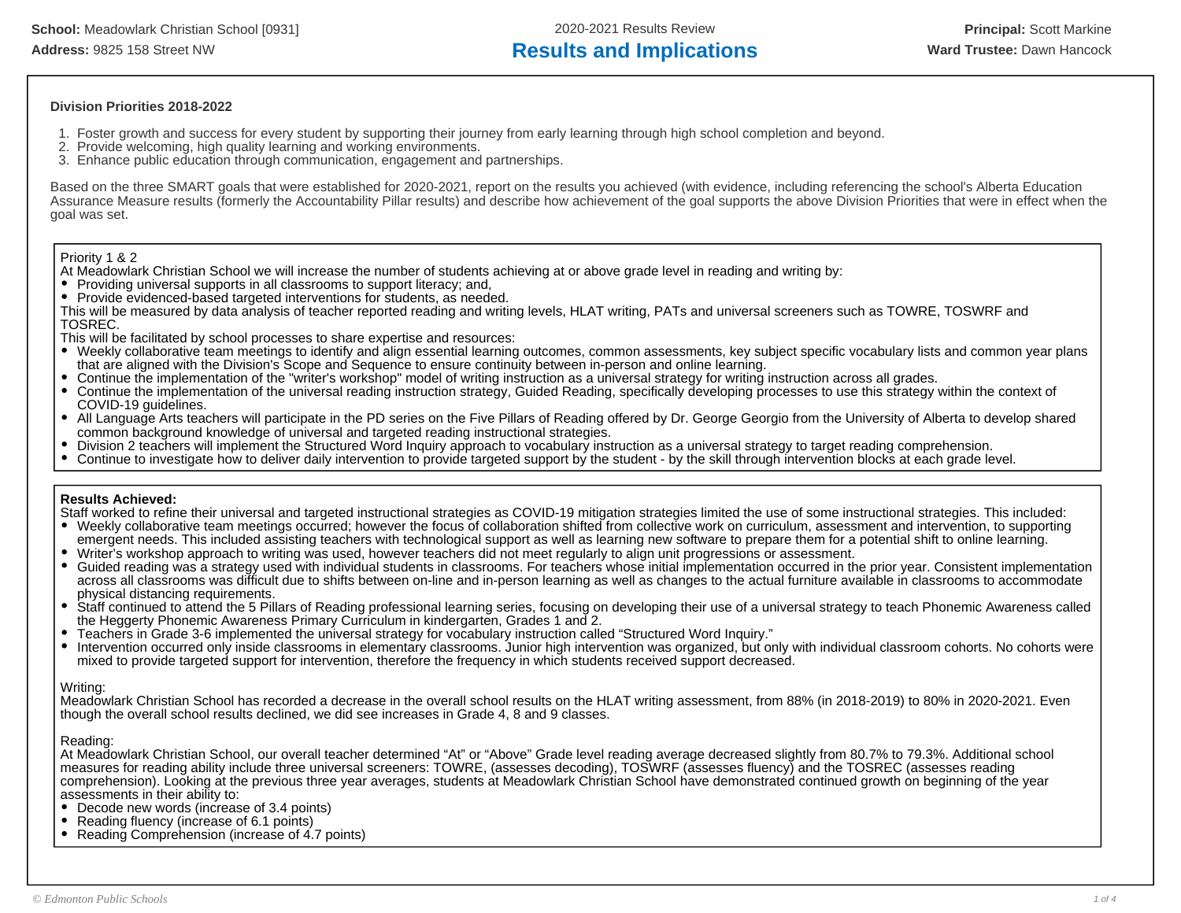#### **Division Priorities 2018-2022**

- 1. Foster growth and success for every student by supporting their journey from early learning through high school completion and beyond.
- 2. Provide welcoming, high quality learning and working environments.
- 3. Enhance public education through communication, engagement and partnerships.

Based on the three SMART goals that were established for 2020-2021, report on the results you achieved (with evidence, including referencing the school's Alberta Education Assurance Measure results (formerly the Accountability Pillar results) and describe how achievement of the goal supports the above Division Priorities that were in effect when the goal was set.

#### Priority 1 & 2

- At Meadowlark Christian School we will increase the number of students achieving at or above grade level in reading and writing by:
- Providing universal supports in all classrooms to support literacy; and,
- Provide evidenced-based targeted interventions for students, as needed.

This will be measured by data analysis of teacher reported reading and writing levels, HLAT writing, PATs and universal screeners such as TOWRE, TOSWRF and TOSREC.

- This will be facilitated by school processes to share expertise and resources:
- Weekly collaborative team meetings to identify and align essential learning outcomes, common assessments, key subject specific vocabulary lists and common year plans that are aligned with the Division's Scope and Sequence to ensure continuity between in-person and online learning.
- Continue the implementation of the "writer's workshop" model of writing instruction as a universal strategy for writing instruction across all grades.
- Continue the implementation of the universal reading instruction strategy, Guided Reading, specifically developing processes to use this strategy within the context of COVID-19 guidelines.
- All Language Arts teachers will participate in the PD series on the Five Pillars of Reading offered by Dr. George Georgio from the University of Alberta to develop shared common background knowledge of universal and targeted reading instructional strategies.
- Division 2 teachers will implement the Structured Word Inquiry approach to vocabulary instruction as a universal strategy to target reading comprehension.
- Continue to investigate how to deliver daily intervention to provide targeted support by the student by the skill through intervention blocks at each grade level.

### **Results Achieved:**

Staff worked to refine their universal and targeted instructional strategies as COVID-19 mitigation strategies limited the use of some instructional strategies. This included:

- Weekly collaborative team meetings occurred; however the focus of collaboration shifted from collective work on curriculum, assessment and intervention, to supporting emergent needs. This included assisting teachers with technological support as well as learning new software to prepare them for a potential shift to online learning.
- Writer's workshop approach to writing was used, however teachers did not meet regularly to align unit progressions or assessment.
- $\bullet$ Guided reading was a strategy used with individual students in classrooms. For teachers whose initial implementation occurred in the prior year. Consistent implementation across all classrooms was difficult due to shifts between on-line and in-person learning as well as changes to the actual furniture available in classrooms to accommodate physical distancing requirements.
- Staff continued to attend the 5 Pillars of Reading professional learning series, focusing on developing their use of a universal strategy to teach Phonemic Awareness called the Heggerty Phonemic Awareness Primary Curriculum in kindergarten, Grades 1 and 2.
- Teachers in Grade 3-6 implemented the universal strategy for vocabulary instruction called "Structured Word Inquiry."
- $\bullet$ Intervention occurred only inside classrooms in elementary classrooms. Junior high intervention was organized, but only with individual classroom cohorts. No cohorts were mixed to provide targeted support for intervention, therefore the frequency in which students received support decreased.

### Writing:

Meadowlark Christian School has recorded a decrease in the overall school results on the HLAT writing assessment, from 88% (in 2018-2019) to 80% in 2020-2021. Even though the overall school results declined, we did see increases in Grade 4, 8 and 9 classes.

#### Reading:

At Meadowlark Christian School, our overall teacher determined "At" or "Above" Grade level reading average decreased slightly from 80.7% to 79.3%. Additional school measures for reading ability include three universal screeners: TOWRE, (assesses decoding), TOSWRF (assesses fluency) and the TOSREC (assesses reading comprehension). Looking at the previous three year averages, students at Meadowlark Christian School have demonstrated continued growth on beginning of the year assessments in their ability to:<br>• Decode new words (increas

- Decode new words (increase of 3.4 points)
- $\bullet$ Reading fluency (increase of 6.1 points)
- Reading Comprehension (increase of 4.7 points)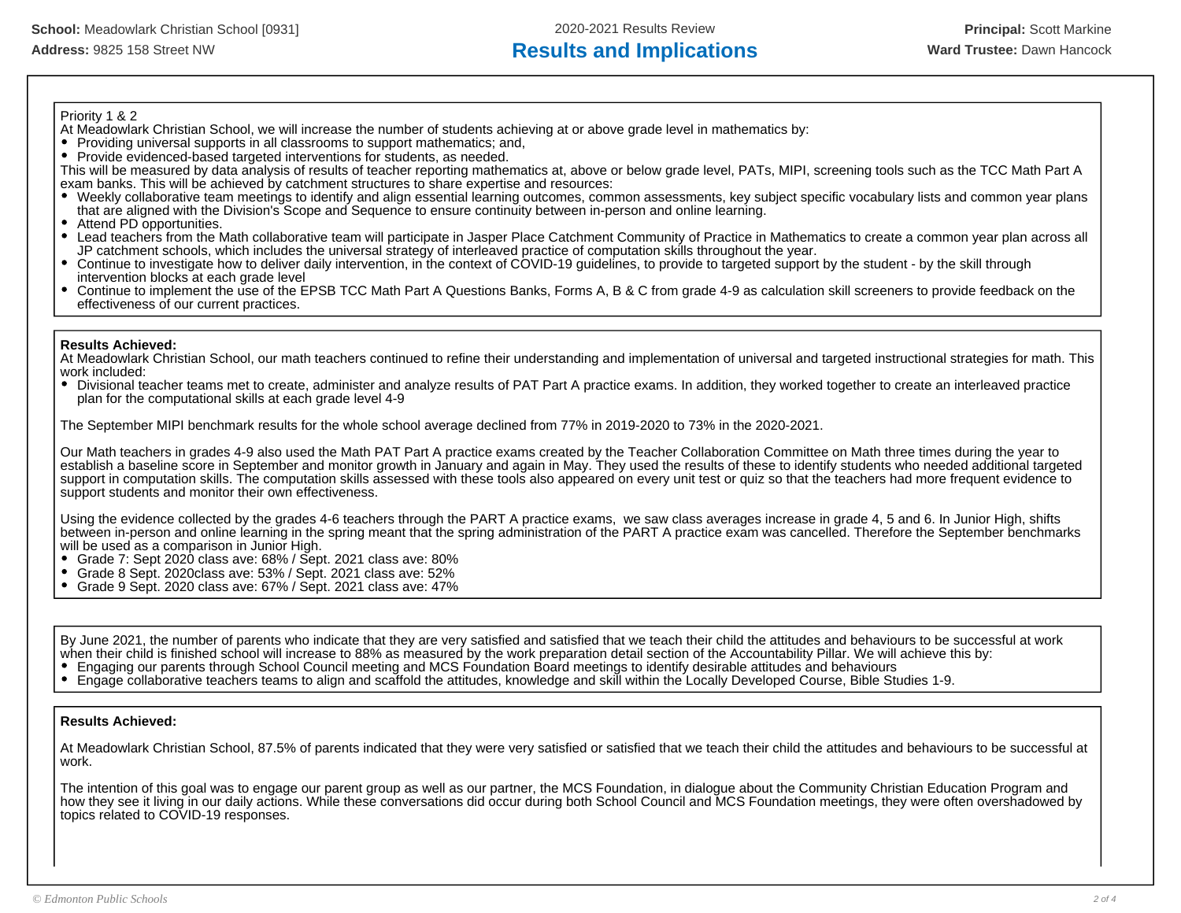#### Priority 1 & 2

At Meadowlark Christian School, we will increase the number of students achieving at or above grade level in mathematics by:

- Providing universal supports in all classrooms to support mathematics; and,
- Provide evidenced-based targeted interventions for students, as needed.

This will be measured by data analysis of results of teacher reporting mathematics at, above or below grade level, PATs, MIPI, screening tools such as the TCC Math Part A exam banks. This will be achieved by catchment structures to share expertise and resources:

- Weekly collaborative team meetings to identify and align essential learning outcomes, common assessments, key subject specific vocabulary lists and common year plans that are aligned with the Division's Scope and Sequence to ensure continuity between in-person and online learning.
- Attend PD opportunities.
- Lead teachers from the Math collaborative team will participate in Jasper Place Catchment Community of Practice in Mathematics to create a common year plan across all JP catchment schools, which includes the universal strategy of interleaved practice of computation skills throughout the year.
- Continue to investigate how to deliver daily intervention, in the context of COVID-19 guidelines, to provide to targeted support by the student by the skill through intervention blocks at each grade level
- $\bullet$ Continue to implement the use of the EPSB TCC Math Part A Questions Banks, Forms A, B & C from grade 4-9 as calculation skill screeners to provide feedback on the effectiveness of our current practices.

#### **Results Achieved:**

At Meadowlark Christian School, our math teachers continued to refine their understanding and implementation of universal and targeted instructional strategies for math. This work included:

Divisional teacher teams met to create, administer and analyze results of PAT Part A practice exams. In addition, they worked together to create an interleaved practice plan for the computational skills at each grade level 4-9

The September MIPI benchmark results for the whole school average declined from 77% in 2019-2020 to 73% in the 2020-2021.

Our Math teachers in grades 4-9 also used the Math PAT Part A practice exams created by the Teacher Collaboration Committee on Math three times during the year to establish a baseline score in September and monitor growth in January and again in May. They used the results of these to identify students who needed additional targeted support in computation skills. The computation skills assessed with these tools also appeared on every unit test or quiz so that the teachers had more frequent evidence to support students and monitor their own effectiveness.

Using the evidence collected by the grades 4-6 teachers through the PART A practice exams, we saw class averages increase in grade 4, 5 and 6. In Junior High, shifts between in-person and online learning in the spring meant that the spring administration of the PART A practice exam was cancelled. Therefore the September benchmarks will be used as a comparison in Junior High.

- Grade 7: Sept 2020 class ave: 68% / Sept. 2021 class ave: 80%
- Grade 8 Sept. 2020class ave: 53% / Sept. 2021 class ave: 52%
- Grade 9 Sept. 2020 class ave: 67% / Sept. 2021 class ave: 47%

By June 2021, the number of parents who indicate that they are very satisfied and satisfied that we teach their child the attitudes and behaviours to be successful at work when their child is finished school will increase to 88% as measured by the work preparation detail section of the Accountability Pillar. We will achieve this by:

- Engaging our parents through School Council meeting and MCS Foundation Board meetings to identify desirable attitudes and behaviours
- Engage collaborative teachers teams to align and scaffold the attitudes, knowledge and skill within the Locally Developed Course, Bible Studies 1-9.

#### **Results Achieved:**

At Meadowlark Christian School, 87.5% of parents indicated that they were very satisfied or satisfied that we teach their child the attitudes and behaviours to be successful at work.

The intention of this goal was to engage our parent group as well as our partner, the MCS Foundation, in dialogue about the Community Christian Education Program and how they see it living in our daily actions. While these conversations did occur during both School Council and MCS Foundation meetings, they were often overshadowed by topics related to COVID-19 responses.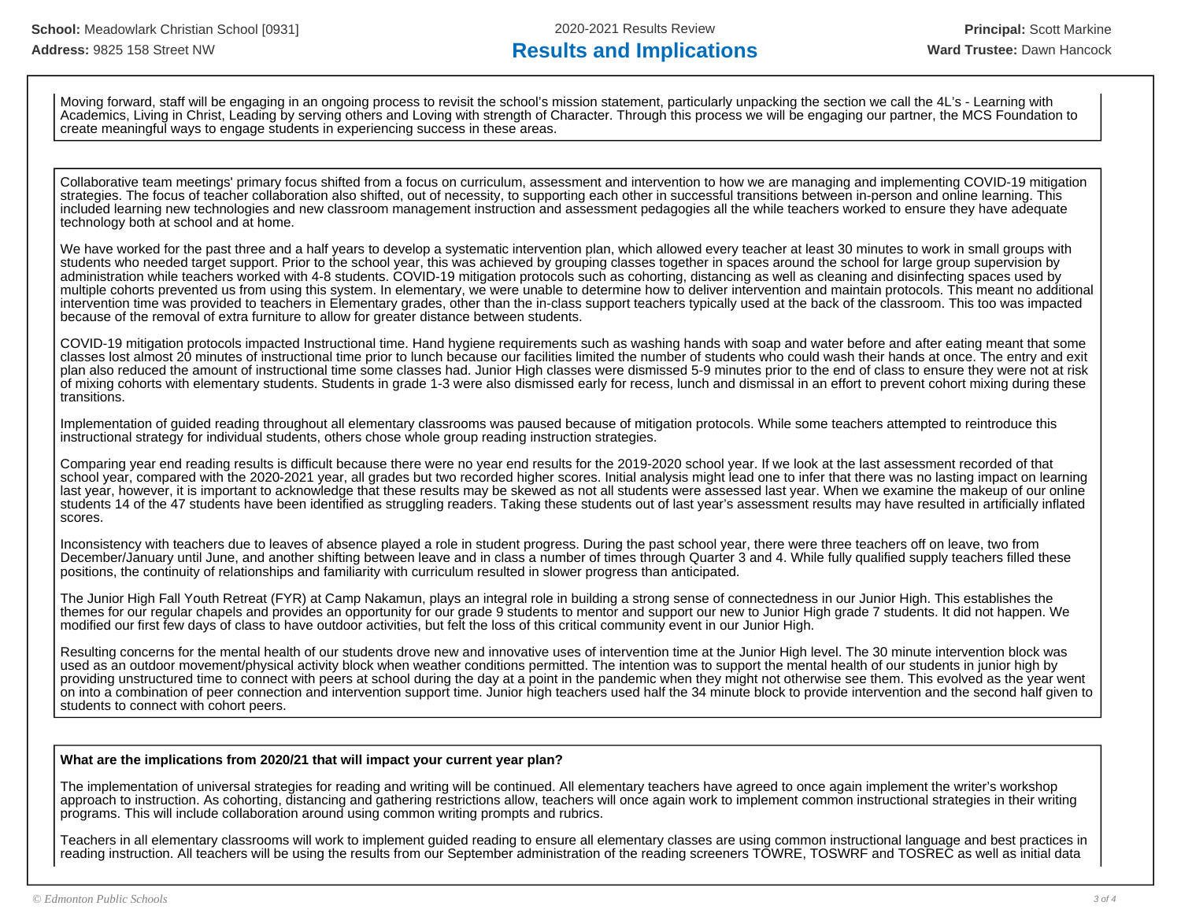Moving forward, staff will be engaging in an ongoing process to revisit the school's mission statement, particularly unpacking the section we call the 4L's - Learning with Academics, Living in Christ, Leading by serving others and Loving with strength of Character. Through this process we will be engaging our partner, the MCS Foundation to create meaningful ways to engage students in experiencing success in these areas.

Collaborative team meetings' primary focus shifted from a focus on curriculum, assessment and intervention to how we are managing and implementing COVID-19 mitigation strategies. The focus of teacher collaboration also shifted, out of necessity, to supporting each other in successful transitions between in-person and online learning. This included learning new technologies and new classroom management instruction and assessment pedagogies all the while teachers worked to ensure they have adequate technology both at school and at home.

We have worked for the past three and a half years to develop a systematic intervention plan, which allowed every teacher at least 30 minutes to work in small groups with students who needed target support. Prior to the school year, this was achieved by grouping classes together in spaces around the school for large group supervision by administration while teachers worked with 4-8 students. COVID-19 mitigation protocols such as cohorting, distancing as well as cleaning and disinfecting spaces used by multiple cohorts prevented us from using this system. In elementary, we were unable to determine how to deliver intervention and maintain protocols. This meant no additional intervention time was provided to teachers in Elementary grades, other than the in-class support teachers typically used at the back of the classroom. This too was impacted because of the removal of extra furniture to allow for greater distance between students.

COVID-19 mitigation protocols impacted Instructional time. Hand hygiene requirements such as washing hands with soap and water before and after eating meant that some classes lost almost 20 minutes of instructional time prior to lunch because our facilities limited the number of students who could wash their hands at once. The entry and exit plan also reduced the amount of instructional time some classes had. Junior High classes were dismissed 5-9 minutes prior to the end of class to ensure they were not at risk of mixing cohorts with elementary students. Students in grade 1-3 were also dismissed early for recess, lunch and dismissal in an effort to prevent cohort mixing during these transitions.

Implementation of guided reading throughout all elementary classrooms was paused because of mitigation protocols. While some teachers attempted to reintroduce this instructional strategy for individual students, others chose whole group reading instruction strategies.

Comparing year end reading results is difficult because there were no year end results for the 2019-2020 school year. If we look at the last assessment recorded of that school year, compared with the 2020-2021 year, all grades but two recorded higher scores. Initial analysis might lead one to infer that there was no lasting impact on learning last year, however, it is important to acknowledge that these results may be skewed as not all students were assessed last year. When we examine the makeup of our online students 14 of the 47 students have been identified as struggling readers. Taking these students out of last year's assessment results may have resulted in artificially inflated scores.

Inconsistency with teachers due to leaves of absence played a role in student progress. During the past school year, there were three teachers off on leave, two from December/January until June, and another shifting between leave and in class a number of times through Quarter 3 and 4. While fully qualified supply teachers filled these positions, the continuity of relationships and familiarity with curriculum resulted in slower progress than anticipated.

The Junior High Fall Youth Retreat (FYR) at Camp Nakamun, plays an integral role in building a strong sense of connectedness in our Junior High. This establishes the themes for our regular chapels and provides an opportunity for our grade 9 students to mentor and support our new to Junior High grade 7 students. It did not happen. We modified our first few days of class to have outdoor activities, but felt the loss of this critical community event in our Junior High.

Resulting concerns for the mental health of our students drove new and innovative uses of intervention time at the Junior High level. The 30 minute intervention block was used as an outdoor movement/physical activity block when weather conditions permitted. The intention was to support the mental health of our students in junior high by providing unstructured time to connect with peers at school during the day at a point in the pandemic when they might not otherwise see them. This evolved as the year went on into a combination of peer connection and intervention support time. Junior high teachers used half the 34 minute block to provide intervention and the second half given to students to connect with cohort peers.

#### **What are the implications from 2020/21 that will impact your current year plan?**

The implementation of universal strategies for reading and writing will be continued. All elementary teachers have agreed to once again implement the writer's workshop approach to instruction. As cohorting, distancing and gathering restrictions allow, teachers will once again work to implement common instructional strategies in their writing programs. This will include collaboration around using common writing prompts and rubrics.

Teachers in all elementary classrooms will work to implement guided reading to ensure all elementary classes are using common instructional language and best practices in reading instruction. All teachers will be using the results from our September administration of the reading screeners TOWRE, TOSWRF and TOSREC as well as initial data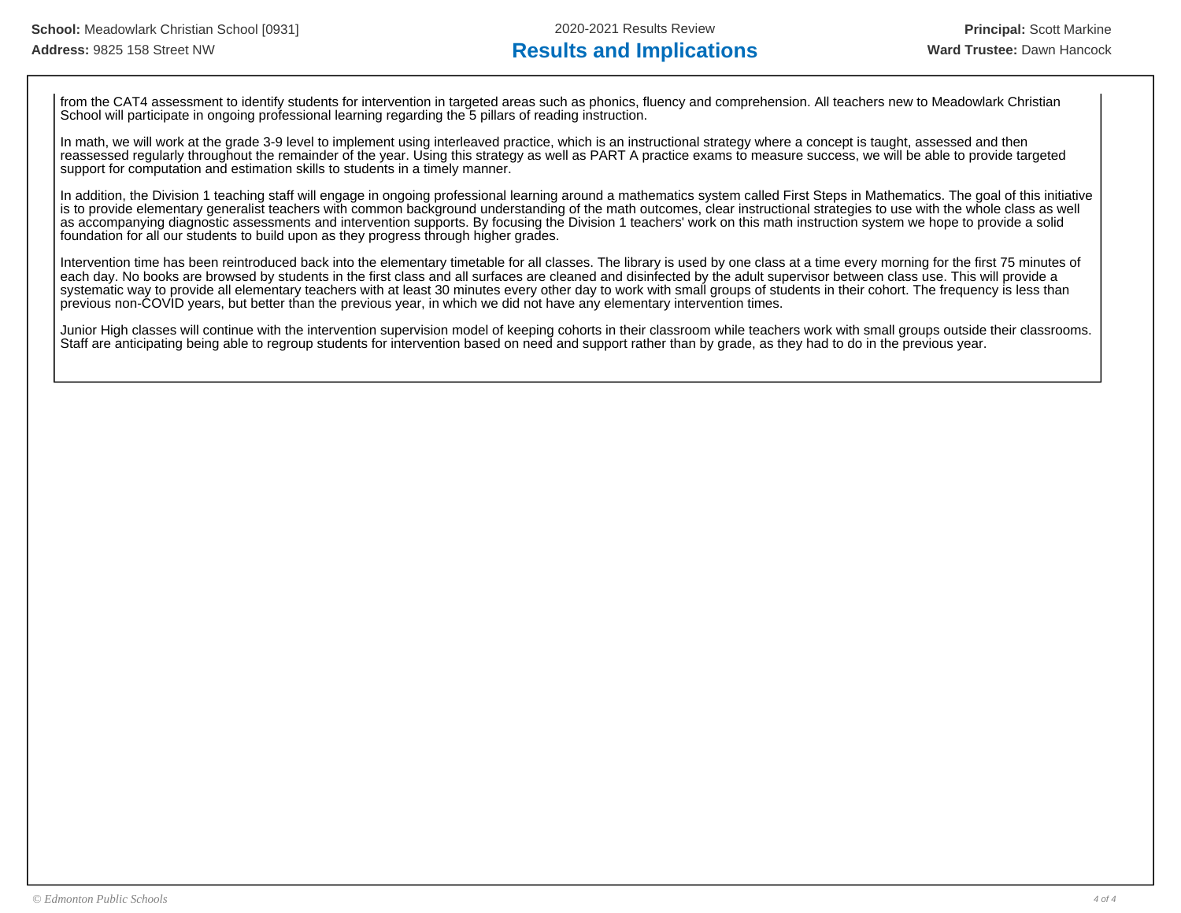from the CAT4 assessment to identify students for intervention in targeted areas such as phonics, fluency and comprehension. All teachers new to Meadowlark Christian School will participate in ongoing professional learning regarding the 5 pillars of reading instruction.

In math, we will work at the grade 3-9 level to implement using interleaved practice, which is an instructional strategy where a concept is taught, assessed and then reassessed regularly throughout the remainder of the year. Using this strategy as well as PART A practice exams to measure success, we will be able to provide targeted support for computation and estimation skills to students in a timely manner.

In addition, the Division 1 teaching staff will engage in ongoing professional learning around a mathematics system called First Steps in Mathematics. The goal of this initiative is to provide elementary generalist teachers with common background understanding of the math outcomes, clear instructional strategies to use with the whole class as well as accompanying diagnostic assessments and intervention supports. By focusing the Division 1 teachers' work on this math instruction system we hope to provide a solid foundation for all our students to build upon as they progress through higher grades.

Intervention time has been reintroduced back into the elementary timetable for all classes. The library is used by one class at a time every morning for the first 75 minutes of each day. No books are browsed by students in the first class and all surfaces are cleaned and disinfected by the adult supervisor between class use. This will provide a systematic way to provide all elementary teachers with at least 30 minutes every other day to work with small groups of students in their cohort. The frequency is less than previous non-COVID years, but better than the previous year, in which we did not have any elementary intervention times.

Junior High classes will continue with the intervention supervision model of keeping cohorts in their classroom while teachers work with small groups outside their classrooms. Staff are anticipating being able to regroup students for intervention based on need and support rather than by grade, as they had to do in the previous year.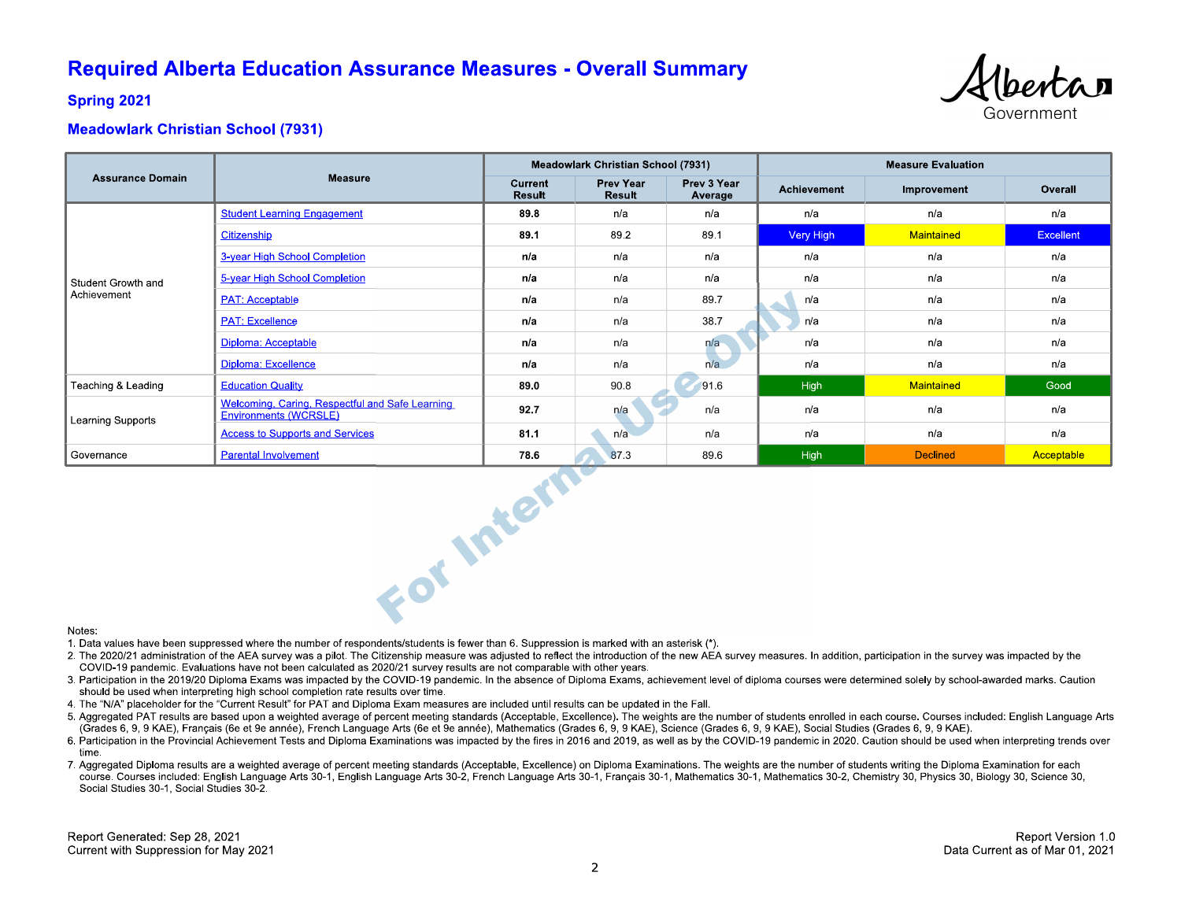# **Required Alberta Education Assurance Measures - Overall Summary**



# **Spring 2021**

# **Meadowlark Christian School (7931)**

|                                                                                                                                                                                                                                                                                                                                                                                                                                                                                                                                                                                                                                                                                                                                                                                                                                                                                                                                      |            | <b>Meadowlark Christian School (7931)</b> |                            |                        | <b>Measure Evaluation</b> |             |            |
|--------------------------------------------------------------------------------------------------------------------------------------------------------------------------------------------------------------------------------------------------------------------------------------------------------------------------------------------------------------------------------------------------------------------------------------------------------------------------------------------------------------------------------------------------------------------------------------------------------------------------------------------------------------------------------------------------------------------------------------------------------------------------------------------------------------------------------------------------------------------------------------------------------------------------------------|------------|-------------------------------------------|----------------------------|------------------------|---------------------------|-------------|------------|
|                                                                                                                                                                                                                                                                                                                                                                                                                                                                                                                                                                                                                                                                                                                                                                                                                                                                                                                                      |            | Current<br><b>Result</b>                  | <b>Prev Year</b><br>Result | Prev 3 Year<br>Average | <b>Achievement</b>        | Improvement | Overall    |
| <b>Measure</b><br><b>Assurance Domain</b><br><b>Student Learning Engagement</b><br>89.8<br>n/a<br>n/a<br>n/a<br>892<br>Very High<br>89.1<br>89.1<br>Citizenship<br>3-year High School Completion<br>n/a<br>n/a<br>n/a<br>n/a<br>5-year High School Completion<br>n/a<br>n/a<br>n/a<br>n/a<br>Student Growth and<br>Achievement<br>89.7<br><b>PAT: Acceptable</b><br>n/a<br>n/a<br>n/a<br>38.7<br><b>PAT: Excellence</b><br>n/a<br>n/a<br>n/a<br>Diploma: Acceptable<br>n/a<br>n/a<br>n/a<br>n/a<br>n/a<br>Diploma: Excellence<br>n/a<br>n/a<br>n/a<br>90.8<br><b>High</b><br>91.6<br>Teaching & Leading<br><b>Education Quality</b><br>89.0<br>Welcoming, Caring, Respectful and Safe Learning<br>92.7<br>n/a<br>n/a<br>n/a<br>Environments (WCRSLE)<br><b>Learning Supports</b><br>81.1<br><b>Access to Supports and Services</b><br>n/a<br>n/a<br>n/a<br><b>Parental Involvement</b><br>87.3<br>High<br>78.6<br>89.6<br>Governance |            |                                           |                            |                        |                           | n/a         | n/a        |
|                                                                                                                                                                                                                                                                                                                                                                                                                                                                                                                                                                                                                                                                                                                                                                                                                                                                                                                                      | Maintained | <b>Excellent</b>                          |                            |                        |                           |             |            |
|                                                                                                                                                                                                                                                                                                                                                                                                                                                                                                                                                                                                                                                                                                                                                                                                                                                                                                                                      |            |                                           | n/a                        | n/a                    |                           |             |            |
|                                                                                                                                                                                                                                                                                                                                                                                                                                                                                                                                                                                                                                                                                                                                                                                                                                                                                                                                      |            |                                           |                            |                        |                           | n/a         | n/a        |
|                                                                                                                                                                                                                                                                                                                                                                                                                                                                                                                                                                                                                                                                                                                                                                                                                                                                                                                                      |            |                                           |                            |                        |                           | n/a         | n/a        |
|                                                                                                                                                                                                                                                                                                                                                                                                                                                                                                                                                                                                                                                                                                                                                                                                                                                                                                                                      |            |                                           |                            |                        |                           | n/a         | n/a        |
|                                                                                                                                                                                                                                                                                                                                                                                                                                                                                                                                                                                                                                                                                                                                                                                                                                                                                                                                      |            |                                           |                            |                        |                           | n/a         | n/a        |
|                                                                                                                                                                                                                                                                                                                                                                                                                                                                                                                                                                                                                                                                                                                                                                                                                                                                                                                                      |            |                                           |                            |                        |                           | n/a         | n/a        |
|                                                                                                                                                                                                                                                                                                                                                                                                                                                                                                                                                                                                                                                                                                                                                                                                                                                                                                                                      |            |                                           |                            |                        |                           | Maintained  | Good       |
|                                                                                                                                                                                                                                                                                                                                                                                                                                                                                                                                                                                                                                                                                                                                                                                                                                                                                                                                      |            |                                           |                            |                        |                           | n/a         | n/a        |
|                                                                                                                                                                                                                                                                                                                                                                                                                                                                                                                                                                                                                                                                                                                                                                                                                                                                                                                                      |            | n/a<br><b>Declined</b>                    | n/a                        |                        |                           |             |            |
|                                                                                                                                                                                                                                                                                                                                                                                                                                                                                                                                                                                                                                                                                                                                                                                                                                                                                                                                      |            |                                           |                            |                        |                           |             | Acceptable |
| Notes.                                                                                                                                                                                                                                                                                                                                                                                                                                                                                                                                                                                                                                                                                                                                                                                                                                                                                                                               | For Intern |                                           |                            |                        |                           |             |            |

#### Notes:

1. Data values have been suppressed where the number of respondents/students is fewer than 6. Suppression is marked with an asterisk (\*).

- 2. The 2020/21 administration of the AEA survey was a pilot. The Citizenship measure was adjusted to reflect the introduction of the new AEA survey measures. In addition, participation in the survey was impacted by the COVID-19 pandemic. Evaluations have not been calculated as 2020/21 survey results are not comparable with other years.
- 3. Participation in the 2019/20 Diploma Exams was impacted by the COVID-19 pandemic. In the absence of Diploma Exams, achievement level of diploma courses were determined solely by school-awarded marks. Caution should be used when interpreting high school completion rate results over time.
- 4. The "N/A" placeholder for the "Current Result" for PAT and Diploma Exam measures are included until results can be updated in the Fall.
- 5. Aggregated PAT results are based upon a weighted average of percent meeting standards (Acceptable, Excellence). The weights are the number of students enrolled in each course. Courses included: English Language Arts (Grades 6, 9, 9 KAE), Français (6e et 9e année), French Language Arts (6e et 9e année), Mathematics (Grades 6, 9, 9 KAE), Science (Grades 6, 9, 9 KAE), Social Studies (Grades 6, 9, 9 KAE).
- 6. Participation in the Provincial Achievement Tests and Diploma Examinations was impacted by the fires in 2016 and 2019, as well as by the COVID-19 pandemic in 2020. Caution should be used when interpreting trends over time
- 7. Aggregated Diploma results are a weighted average of percent meeting standards (Acceptable, Excellence) on Diploma Examinations. The weights are the number of students writing the Diploma Examination for each course. Courses included: English Language Arts 30-1, English Language Arts 30-2, French Language Arts 30-1, Français 30-1, Mathematics 30-1, Mathematics 30-2, Chemistry 30, Physics 30, Biology 30, Science 30, Social Studies 30-1, Social Studies 30-2.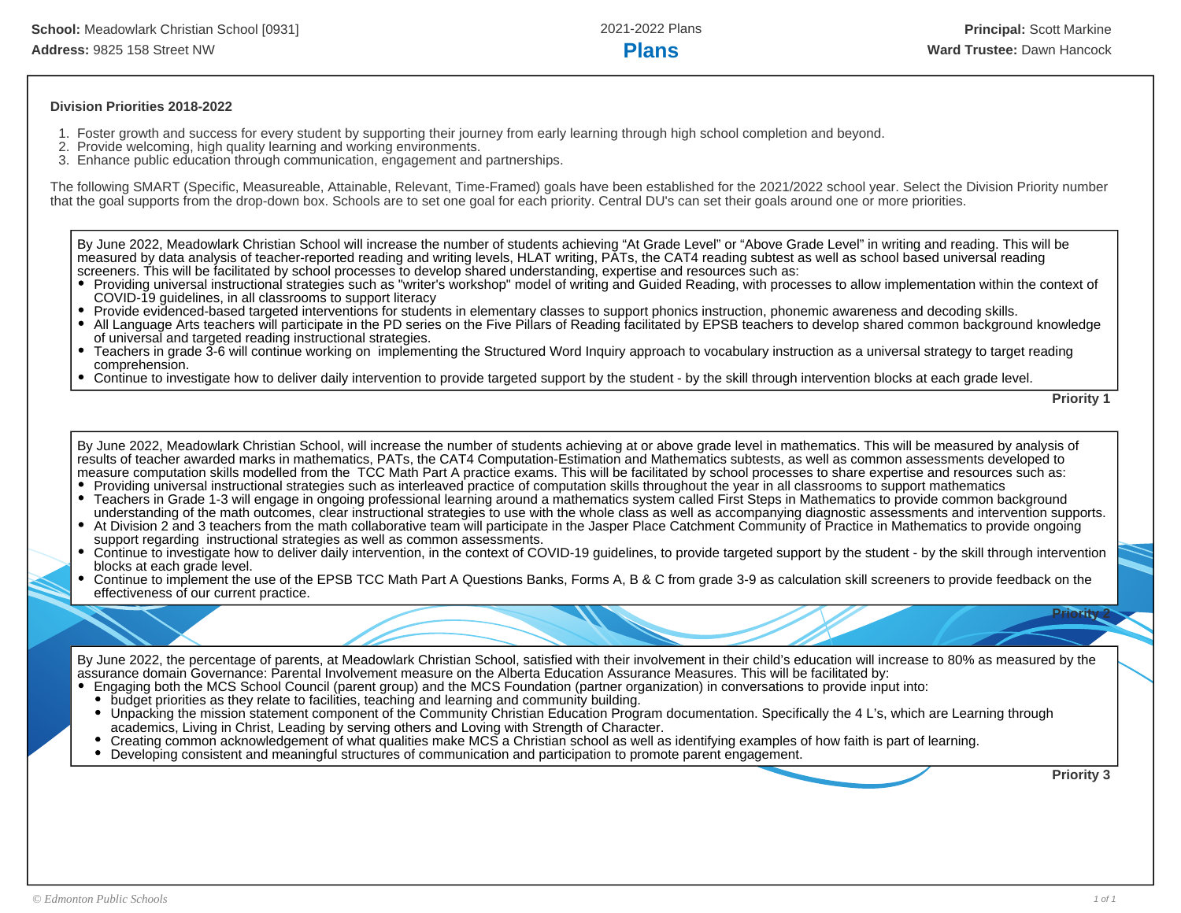### **Division Priorities 2018-2022**

- 1. Foster growth and success for every student by supporting their journey from early learning through high school completion and beyond.
- 2. Provide welcoming, high quality learning and working environments.
- 3. Enhance public education through communication, engagement and partnerships.

The following SMART (Specific, Measureable, Attainable, Relevant, Time-Framed) goals have been established for the 2021/2022 school year. Select the Division Priority number that the goal supports from the drop-down box. Schools are to set one goal for each priority. Central DU's can set their goals around one or more priorities.

By June 2022, Meadowlark Christian School will increase the number of students achieving "At Grade Level" or "Above Grade Level" in writing and reading. This will be measured by data analysis of teacher-reported reading and writing levels, HLAT writing, PATs, the CAT4 reading subtest as well as school based universal reading screeners. This will be facilitated by school processes to develop shared understanding, expertise and resources such as:

- Providing universal instructional strategies such as "writer's workshop" model of writing and Guided Reading, with processes to allow implementation within the context of COVID-19 guidelines, in all classrooms to support literacy
- Provide evidenced-based targeted interventions for students in elementary classes to support phonics instruction, phonemic awareness and decoding skills.
- All Language Arts teachers will participate in the PD series on the Five Pillars of Reading facilitated by EPSB teachers to develop shared common background knowledge of universal and targeted reading instructional strategies.
- Teachers in grade 3-6 will continue working on implementing the Structured Word Inquiry approach to vocabulary instruction as a universal strategy to target reading comprehension.
- Continue to investigate how to deliver daily intervention to provide targeted support by the student by the skill through intervention blocks at each grade level.

**Priority 1**

By June 2022, Meadowlark Christian School, will increase the number of students achieving at or above grade level in mathematics. This will be measured by analysis of results of teacher awarded marks in mathematics, PATs, the CAT4 Computation-Estimation and Mathematics subtests, as well as common assessments developed to measure computation skills modelled from the TCC Math Part A practice exams. This will be facilitated by school processes to share expertise and resources such as: Providing universal instructional strategies such as interleaved practice of computation skills throughout the year in all classrooms to support mathematics

- Teachers in Grade 1-3 will engage in ongoing professional learning around a mathematics system called First Steps in Mathematics to provide common background  $\bullet$ understanding of the math outcomes, clear instructional strategies to use with the whole class as well as accompanying diagnostic assessments and intervention supports.
- At Division 2 and 3 teachers from the math collaborative team will participate in the Jasper Place Catchment Community of Practice in Mathematics to provide ongoing support regarding instructional strategies as well as common assessments.
- Continue to investigate how to deliver daily intervention, in the context of COVID-19 guidelines, to provide targeted support by the student by the skill through intervention blocks at each grade level.
- Continue to implement the use of the EPSB TCC Math Part A Questions Banks, Forms A, B & C from grade 3-9 as calculation skill screeners to provide feedback on the effectiveness of our current practice.

**Priority 2**

By June 2022, the percentage of parents, at Meadowlark Christian School, satisfied with their involvement in their child's education will increase to 80% as measured by the assurance domain Governance: Parental Involvement measure on the Alberta Education Assurance Measures. This will be facilitated by:

- Engaging both the MCS School Council (parent group) and the MCS Foundation (partner organization) in conversations to provide input into:
- budget priorities as they relate to facilities, teaching and learning and community building.
- Unpacking the mission statement component of the Community Christian Education Program documentation. Specifically the 4 L's, which are Learning through academics, Living in Christ, Leading by serving others and Loving with Strength of Character.
- Creating common acknowledgement of what qualities make MCS a Christian school as well as identifying examples of how faith is part of learning.
- Developing consistent and meaningful structures of communication and participation to promote parent engagement.

**Priority 3**